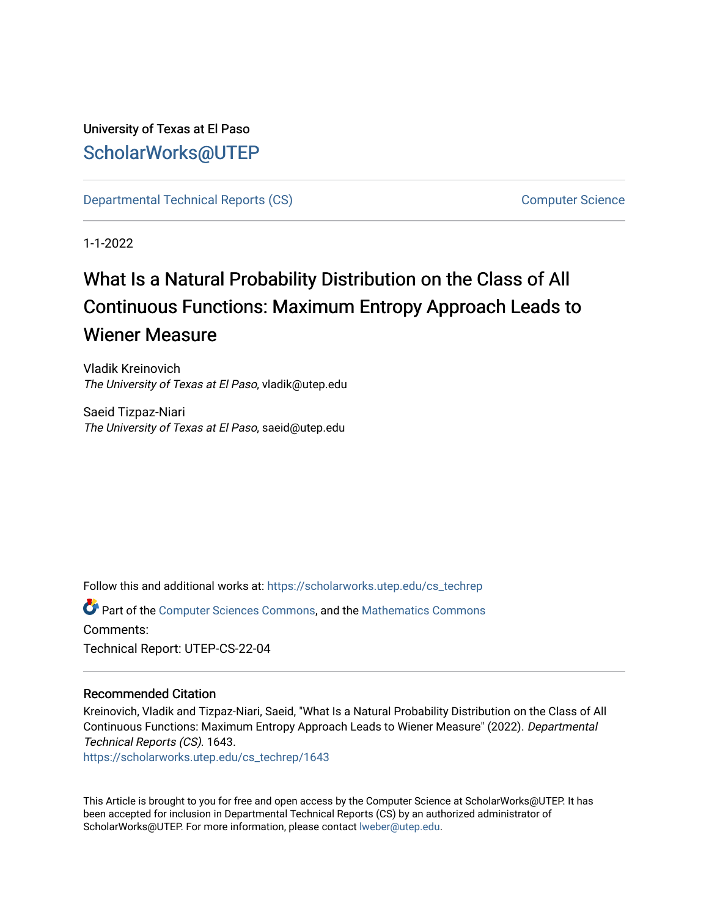University of Texas at El Paso [ScholarWorks@UTEP](https://scholarworks.utep.edu/)

[Departmental Technical Reports \(CS\)](https://scholarworks.utep.edu/cs_techrep) [Computer Science](https://scholarworks.utep.edu/computer) 

1-1-2022

# What Is a Natural Probability Distribution on the Class of All Continuous Functions: Maximum Entropy Approach Leads to Wiener Measure

Vladik Kreinovich The University of Texas at El Paso, vladik@utep.edu

Saeid Tizpaz-Niari The University of Texas at El Paso, saeid@utep.edu

Follow this and additional works at: [https://scholarworks.utep.edu/cs\\_techrep](https://scholarworks.utep.edu/cs_techrep?utm_source=scholarworks.utep.edu%2Fcs_techrep%2F1643&utm_medium=PDF&utm_campaign=PDFCoverPages) 

Part of the [Computer Sciences Commons](http://network.bepress.com/hgg/discipline/142?utm_source=scholarworks.utep.edu%2Fcs_techrep%2F1643&utm_medium=PDF&utm_campaign=PDFCoverPages), and the [Mathematics Commons](http://network.bepress.com/hgg/discipline/174?utm_source=scholarworks.utep.edu%2Fcs_techrep%2F1643&utm_medium=PDF&utm_campaign=PDFCoverPages)  Comments: Technical Report: UTEP-CS-22-04

### Recommended Citation

Kreinovich, Vladik and Tizpaz-Niari, Saeid, "What Is a Natural Probability Distribution on the Class of All Continuous Functions: Maximum Entropy Approach Leads to Wiener Measure" (2022). Departmental Technical Reports (CS). 1643.

[https://scholarworks.utep.edu/cs\\_techrep/1643](https://scholarworks.utep.edu/cs_techrep/1643?utm_source=scholarworks.utep.edu%2Fcs_techrep%2F1643&utm_medium=PDF&utm_campaign=PDFCoverPages) 

This Article is brought to you for free and open access by the Computer Science at ScholarWorks@UTEP. It has been accepted for inclusion in Departmental Technical Reports (CS) by an authorized administrator of ScholarWorks@UTEP. For more information, please contact [lweber@utep.edu](mailto:lweber@utep.edu).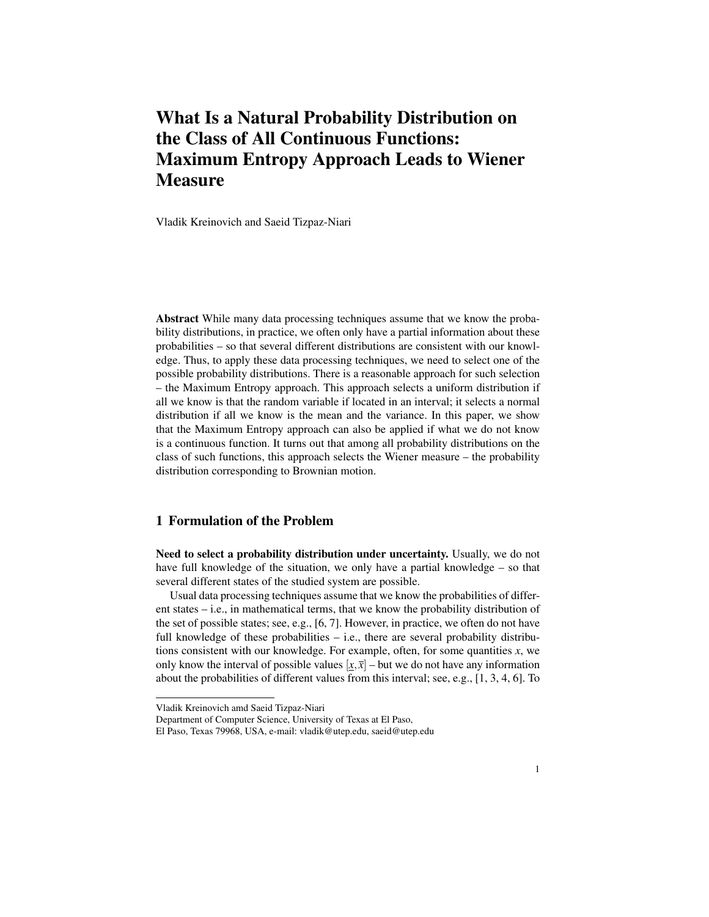## What Is a Natural Probability Distribution on the Class of All Continuous Functions: Maximum Entropy Approach Leads to Wiener **Measure**

Vladik Kreinovich and Saeid Tizpaz-Niari

Abstract While many data processing techniques assume that we know the probability distributions, in practice, we often only have a partial information about these probabilities – so that several different distributions are consistent with our knowledge. Thus, to apply these data processing techniques, we need to select one of the possible probability distributions. There is a reasonable approach for such selection – the Maximum Entropy approach. This approach selects a uniform distribution if all we know is that the random variable if located in an interval; it selects a normal distribution if all we know is the mean and the variance. In this paper, we show that the Maximum Entropy approach can also be applied if what we do not know is a continuous function. It turns out that among all probability distributions on the class of such functions, this approach selects the Wiener measure – the probability distribution corresponding to Brownian motion.

#### 1 Formulation of the Problem

Need to select a probability distribution under uncertainty. Usually, we do not have full knowledge of the situation, we only have a partial knowledge – so that several different states of the studied system are possible.

Usual data processing techniques assume that we know the probabilities of different states – i.e., in mathematical terms, that we know the probability distribution of the set of possible states; see, e.g., [6, 7]. However, in practice, we often do not have full knowledge of these probabilities – i.e., there are several probability distributions consistent with our knowledge. For example, often, for some quantities *x*, we only know the interval of possible values  $[x, \bar{x}]$  – but we do not have any information about the probabilities of different values from this interval; see, e.g., [1, 3, 4, 6]. To

Department of Computer Science, University of Texas at El Paso,

Vladik Kreinovich amd Saeid Tizpaz-Niari

El Paso, Texas 79968, USA, e-mail: vladik@utep.edu, saeid@utep.edu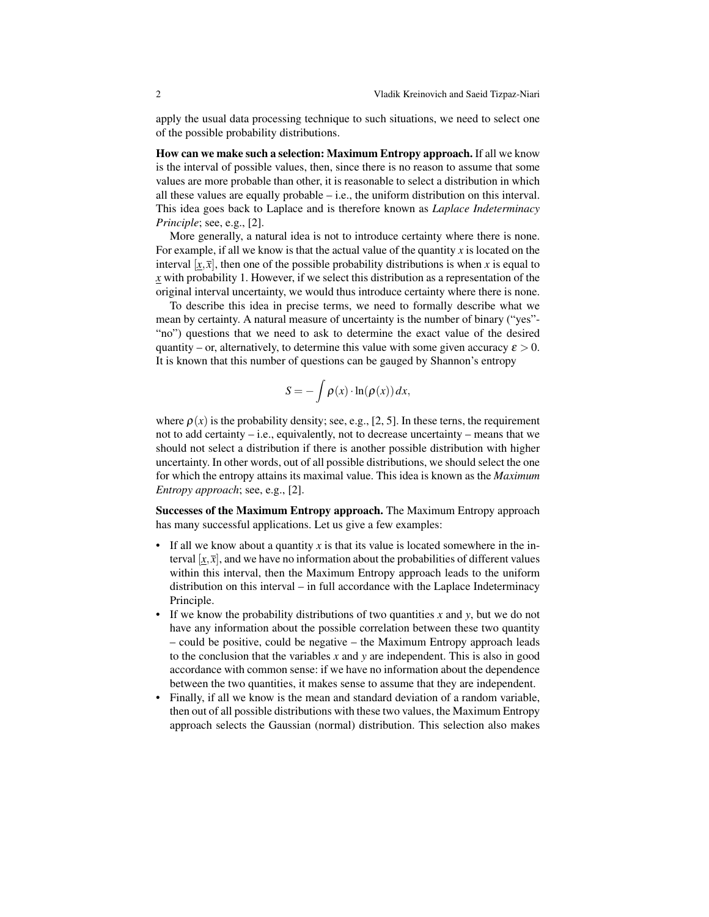apply the usual data processing technique to such situations, we need to select one of the possible probability distributions.

How can we make such a selection: Maximum Entropy approach. If all we know is the interval of possible values, then, since there is no reason to assume that some values are more probable than other, it is reasonable to select a distribution in which all these values are equally probable – i.e., the uniform distribution on this interval. This idea goes back to Laplace and is therefore known as *Laplace Indeterminacy Principle*; see, e.g., [2].

More generally, a natural idea is not to introduce certainty where there is none. For example, if all we know is that the actual value of the quantity *x* is located on the interval  $[x, \overline{x}]$ , then one of the possible probability distributions is when *x* is equal to *x* with probability 1. However, if we select this distribution as a representation of the original interval uncertainty, we would thus introduce certainty where there is none.

To describe this idea in precise terms, we need to formally describe what we mean by certainty. A natural measure of uncertainty is the number of binary ("yes"- "no") questions that we need to ask to determine the exact value of the desired quantity – or, alternatively, to determine this value with some given accuracy  $\varepsilon > 0$ . It is known that this number of questions can be gauged by Shannon's entropy

$$
S = -\int \rho(x) \cdot \ln(\rho(x)) dx,
$$

where  $\rho(x)$  is the probability density; see, e.g., [2, 5]. In these terns, the requirement not to add certainty  $-$  i.e., equivalently, not to decrease uncertainty  $-$  means that we should not select a distribution if there is another possible distribution with higher uncertainty. In other words, out of all possible distributions, we should select the one for which the entropy attains its maximal value. This idea is known as the *Maximum Entropy approach*; see, e.g., [2].

Successes of the Maximum Entropy approach. The Maximum Entropy approach has many successful applications. Let us give a few examples:

- If all we know about a quantity *x* is that its value is located somewhere in the interval  $[x,\overline{x}]$ , and we have no information about the probabilities of different values within this interval, then the Maximum Entropy approach leads to the uniform distribution on this interval – in full accordance with the Laplace Indeterminacy Principle.
- If we know the probability distributions of two quantities *x* and *y*, but we do not have any information about the possible correlation between these two quantity – could be positive, could be negative – the Maximum Entropy approach leads to the conclusion that the variables *x* and *y* are independent. This is also in good accordance with common sense: if we have no information about the dependence between the two quantities, it makes sense to assume that they are independent.
- Finally, if all we know is the mean and standard deviation of a random variable, then out of all possible distributions with these two values, the Maximum Entropy approach selects the Gaussian (normal) distribution. This selection also makes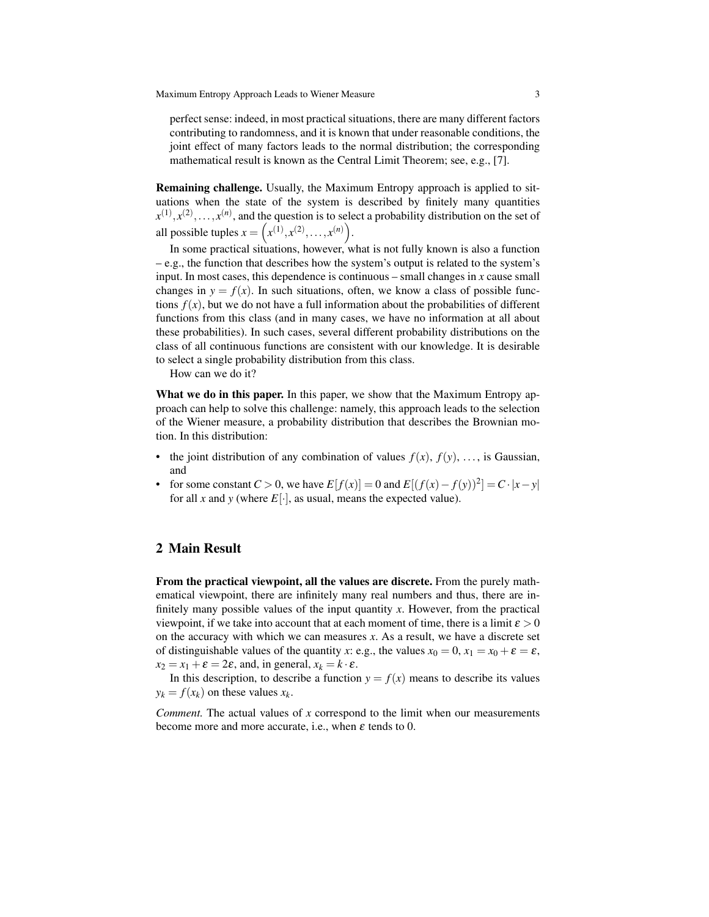perfect sense: indeed, in most practical situations, there are many different factors contributing to randomness, and it is known that under reasonable conditions, the joint effect of many factors leads to the normal distribution; the corresponding mathematical result is known as the Central Limit Theorem; see, e.g., [7].

Remaining challenge. Usually, the Maximum Entropy approach is applied to situations when the state of the system is described by finitely many quantities  $x^{(1)}, x^{(2)}, \ldots, x^{(n)}$ , and the question is to select a probability distribution on the set of all possible tuples  $x = (x^{(1)}, x^{(2)}, \dots, x^{(n)})$ .

In some practical situations, however, what is not fully known is also a function – e.g., the function that describes how the system's output is related to the system's input. In most cases, this dependence is continuous – small changes in  $x$  cause small changes in  $y = f(x)$ . In such situations, often, we know a class of possible functions  $f(x)$ , but we do not have a full information about the probabilities of different functions from this class (and in many cases, we have no information at all about these probabilities). In such cases, several different probability distributions on the class of all continuous functions are consistent with our knowledge. It is desirable to select a single probability distribution from this class.

How can we do it?

What we do in this paper. In this paper, we show that the Maximum Entropy approach can help to solve this challenge: namely, this approach leads to the selection of the Wiener measure, a probability distribution that describes the Brownian motion. In this distribution:

- the joint distribution of any combination of values  $f(x)$ ,  $f(y)$ , ..., is Gaussian, and
- $\bullet$  for some constant *C* > 0, we have  $E[f(x)] = 0$  and  $E[(f(x) f(y))^2] = C \cdot |x y|$ for all *x* and *y* (where  $E[\cdot]$ , as usual, means the expected value).

#### 2 Main Result

From the practical viewpoint, all the values are discrete. From the purely mathematical viewpoint, there are infinitely many real numbers and thus, there are infinitely many possible values of the input quantity *x*. However, from the practical viewpoint, if we take into account that at each moment of time, there is a limit  $\varepsilon > 0$ on the accuracy with which we can measures *x*. As a result, we have a discrete set of distinguishable values of the quantity *x*: e.g., the values  $x_0 = 0$ ,  $x_1 = x_0 + \varepsilon = \varepsilon$ ,  $x_2 = x_1 + \varepsilon = 2\varepsilon$ , and, in general,  $x_k = k \cdot \varepsilon$ .

In this description, to describe a function  $y = f(x)$  means to describe its values  $y_k = f(x_k)$  on these values  $x_k$ .

*Comment.* The actual values of *x* correspond to the limit when our measurements become more and more accurate, i.e., when  $\varepsilon$  tends to 0.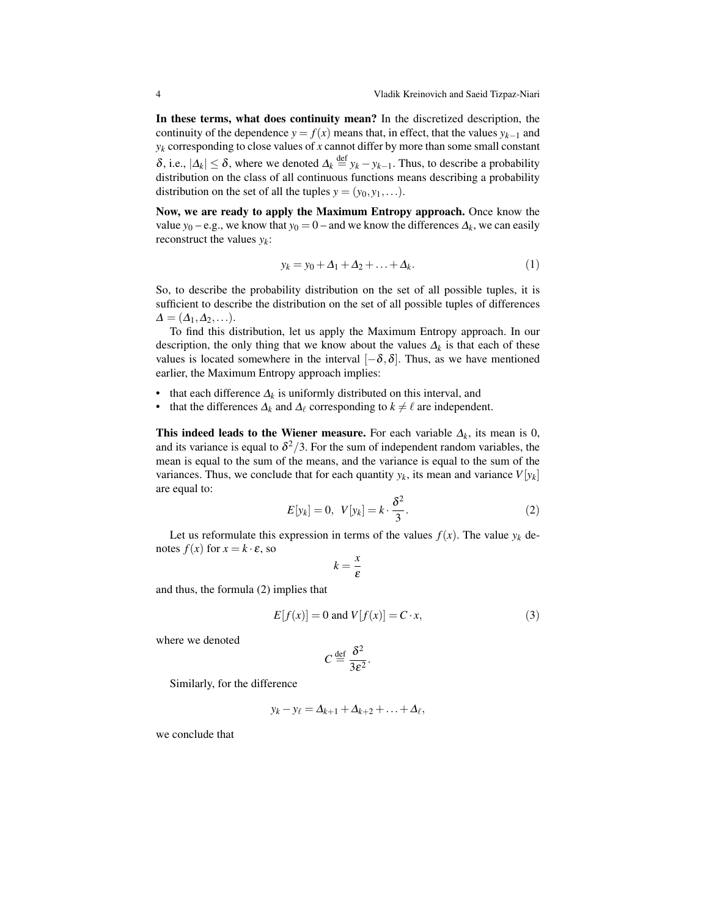In these terms, what does continuity mean? In the discretized description, the continuity of the dependence  $y = f(x)$  means that, in effect, that the values  $y_{k-1}$  and  $y_k$  corresponding to close values of  $x$  cannot differ by more than some small constant  $δ$ , i.e.,  $|Δ_k| ≤ δ$ , where we denoted  $Δ_k \stackrel{\text{def}}{=} y_k - y_{k-1}$ . Thus, to describe a probability distribution on the class of all continuous functions means describing a probability distribution on the set of all the tuples  $y = (y_0, y_1, \ldots)$ .

Now, we are ready to apply the Maximum Entropy approach. Once know the value *y*<sub>0</sub> – e.g., we know that *y*<sub>0</sub> = 0 – and we know the differences  $\Delta_k$ , we can easily reconstruct the values *y<sup>k</sup>* :

$$
y_k = y_0 + \Delta_1 + \Delta_2 + \ldots + \Delta_k. \tag{1}
$$

So, to describe the probability distribution on the set of all possible tuples, it is sufficient to describe the distribution on the set of all possible tuples of differences  $\Delta = (\Delta_1, \Delta_2, \ldots).$ 

To find this distribution, let us apply the Maximum Entropy approach. In our description, the only thing that we know about the values  $\Delta_k$  is that each of these values is located somewhere in the interval  $[-\delta, \delta]$ . Thus, as we have mentioned earlier, the Maximum Entropy approach implies:

- that each difference  $\Delta_k$  is uniformly distributed on this interval, and
- that the differences  $\Delta_k$  and  $\Delta_\ell$  corresponding to  $k \neq \ell$  are independent.

**This indeed leads to the Wiener measure.** For each variable  $\Delta_k$ , its mean is 0, and its variance is equal to  $\delta^2/3$ . For the sum of independent random variables, the mean is equal to the sum of the means, and the variance is equal to the sum of the variances. Thus, we conclude that for each quantity  $y_k$ , its mean and variance  $V[y_k]$ are equal to:

$$
E[y_k] = 0, \quad V[y_k] = k \cdot \frac{\delta^2}{3}.\tag{2}
$$

Let us reformulate this expression in terms of the values  $f(x)$ . The value  $y_k$  denotes  $f(x)$  for  $x = k \cdot \varepsilon$ , so

$$
k=\frac{x}{\varepsilon}
$$

and thus, the formula (2) implies that

$$
E[f(x)] = 0 \text{ and } V[f(x)] = C \cdot x,\tag{3}
$$

where we denoted

$$
C \stackrel{\text{def}}{=} \frac{\delta^2}{3\varepsilon^2}.
$$

Similarly, for the difference

$$
y_k - y_\ell = \Delta_{k+1} + \Delta_{k+2} + \ldots + \Delta_\ell,
$$

we conclude that